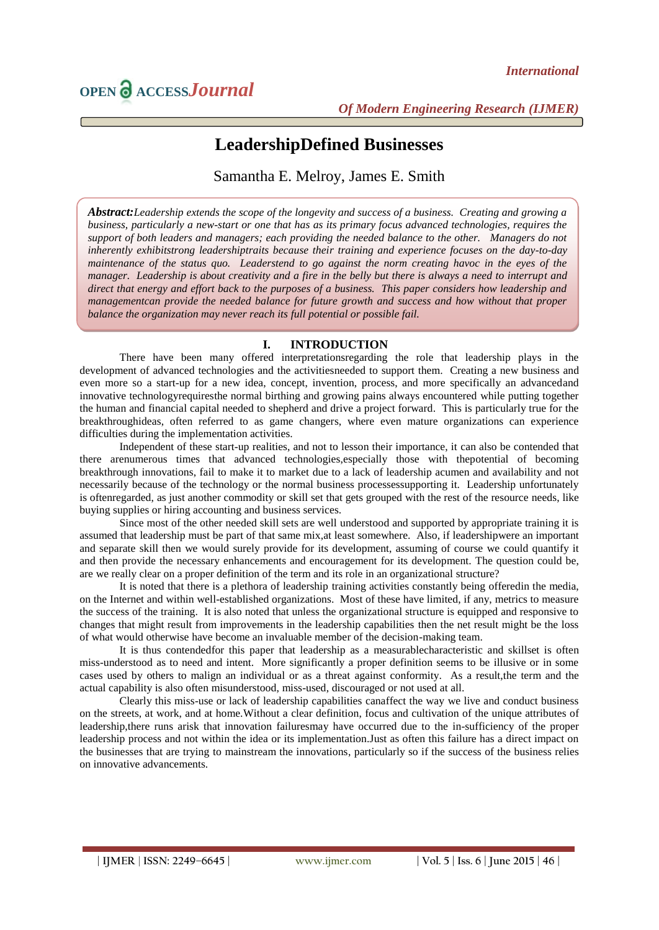# **LeadershipDefined Businesses**

Samantha E. Melroy, James E. Smith

*Abstract:Leadership extends the scope of the longevity and success of a business. Creating and growing a business, particularly a new-start or one that has as its primary focus advanced technologies, requires the support of both leaders and managers; each providing the needed balance to the other. Managers do not inherently exhibitstrong leadershiptraits because their training and experience focuses on the day-to-day maintenance of the status quo. Leaderstend to go against the norm creating havoc in the eyes of the manager. Leadership is about creativity and a fire in the belly but there is always a need to interrupt and direct that energy and effort back to the purposes of a business. This paper considers how leadership and managementcan provide the needed balance for future growth and success and how without that proper balance the organization may never reach its full potential or possible fail.*

## **I. INTRODUCTION**

There have been many offered interpretationsregarding the role that leadership plays in the development of advanced technologies and the activitiesneeded to support them. Creating a new business and even more so a start-up for a new idea, concept, invention, process, and more specifically an advancedand innovative technologyrequiresthe normal birthing and growing pains always encountered while putting together the human and financial capital needed to shepherd and drive a project forward. This is particularly true for the breakthroughideas, often referred to as game changers, where even mature organizations can experience difficulties during the implementation activities.

Independent of these start-up realities, and not to lesson their importance, it can also be contended that there arenumerous times that advanced technologies,especially those with thepotential of becoming breakthrough innovations, fail to make it to market due to a lack of leadership acumen and availability and not necessarily because of the technology or the normal business processessupporting it. Leadership unfortunately is oftenregarded, as just another commodity or skill set that gets grouped with the rest of the resource needs, like buying supplies or hiring accounting and business services.

Since most of the other needed skill sets are well understood and supported by appropriate training it is assumed that leadership must be part of that same mix,at least somewhere. Also, if leadershipwere an important and separate skill then we would surely provide for its development, assuming of course we could quantify it and then provide the necessary enhancements and encouragement for its development. The question could be, are we really clear on a proper definition of the term and its role in an organizational structure?

It is noted that there is a plethora of leadership training activities constantly being offeredin the media, on the Internet and within well-established organizations. Most of these have limited, if any, metrics to measure the success of the training. It is also noted that unless the organizational structure is equipped and responsive to changes that might result from improvements in the leadership capabilities then the net result might be the loss of what would otherwise have become an invaluable member of the decision-making team.

It is thus contendedfor this paper that leadership as a measurablecharacteristic and skillset is often miss-understood as to need and intent. More significantly a proper definition seems to be illusive or in some cases used by others to malign an individual or as a threat against conformity. As a result,the term and the actual capability is also often misunderstood, miss-used, discouraged or not used at all.

Clearly this miss-use or lack of leadership capabilities canaffect the way we live and conduct business on the streets, at work, and at home.Without a clear definition, focus and cultivation of the unique attributes of leadership,there runs arisk that innovation failuresmay have occurred due to the in-sufficiency of the proper leadership process and not within the idea or its implementation.Just as often this failure has a direct impact on the businesses that are trying to mainstream the innovations, particularly so if the success of the business relies on innovative advancements.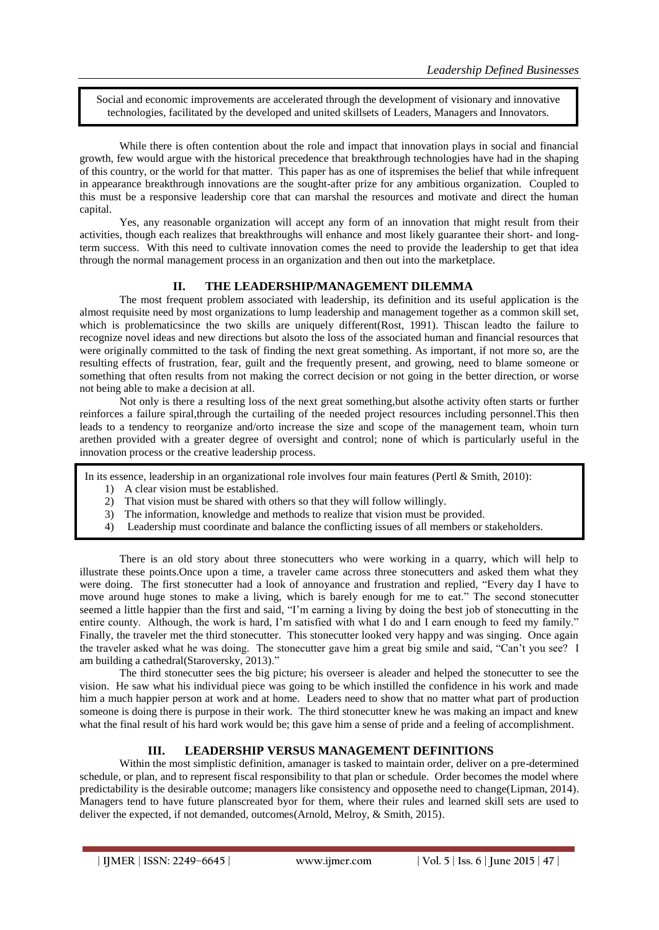Social and economic improvements are accelerated through the development of visionary and innovative technologies, facilitated by the developed and united skillsets of Leaders, Managers and Innovators.

While there is often contention about the role and impact that innovation plays in social and financial growth, few would argue with the historical precedence that breakthrough technologies have had in the shaping of this country, or the world for that matter. This paper has as one of itspremises the belief that while infrequent in appearance breakthrough innovations are the sought-after prize for any ambitious organization. Coupled to this must be a responsive leadership core that can marshal the resources and motivate and direct the human capital.

Yes, any reasonable organization will accept any form of an innovation that might result from their activities, though each realizes that breakthroughs will enhance and most likely guarantee their short- and longterm success. With this need to cultivate innovation comes the need to provide the leadership to get that idea through the normal management process in an organization and then out into the marketplace.

## **II. THE LEADERSHIP/MANAGEMENT DILEMMA**

The most frequent problem associated with leadership, its definition and its useful application is the almost requisite need by most organizations to lump leadership and management together as a common skill set, which is problematicsince the two skills are uniquely different(Rost, 1991). Thiscan leadto the failure to recognize novel ideas and new directions but alsoto the loss of the associated human and financial resources that were originally committed to the task of finding the next great something. As important, if not more so, are the resulting effects of frustration, fear, guilt and the frequently present, and growing, need to blame someone or something that often results from not making the correct decision or not going in the better direction, or worse not being able to make a decision at all.

Not only is there a resulting loss of the next great something,but alsothe activity often starts or further reinforces a failure spiral,through the curtailing of the needed project resources including personnel.This then leads to a tendency to reorganize and/orto increase the size and scope of the management team, whoin turn arethen provided with a greater degree of oversight and control; none of which is particularly useful in the innovation process or the creative leadership process.

In its essence, leadership in an organizational role involves four main features (Pertl & Smith, 2010):

- 1) A clear vision must be established.
- 2) That vision must be shared with others so that they will follow willingly.
- 3) The information, knowledge and methods to realize that vision must be provided.
- 4) Leadership must coordinate and balance the conflicting issues of all members or stakeholders.

There is an old story about three stonecutters who were working in a quarry, which will help to illustrate these points.Once upon a time, a traveler came across three stonecutters and asked them what they were doing. The first stonecutter had a look of annoyance and frustration and replied, "Every day I have to move around huge stones to make a living, which is barely enough for me to eat." The second stonecutter seemed a little happier than the first and said, "I"m earning a living by doing the best job of stonecutting in the entire county. Although, the work is hard, I"m satisfied with what I do and I earn enough to feed my family." Finally, the traveler met the third stonecutter. This stonecutter looked very happy and was singing. Once again the traveler asked what he was doing. The stonecutter gave him a great big smile and said, "Can"t you see? I am building a cathedral(Staroversky, 2013)."

The third stonecutter sees the big picture; his overseer is aleader and helped the stonecutter to see the vision. He saw what his individual piece was going to be which instilled the confidence in his work and made him a much happier person at work and at home. Leaders need to show that no matter what part of production someone is doing there is purpose in their work. The third stonecutter knew he was making an impact and knew what the final result of his hard work would be; this gave him a sense of pride and a feeling of accomplishment.

## **III. LEADERSHIP VERSUS MANAGEMENT DEFINITIONS**

Within the most simplistic definition, amanager is tasked to maintain order, deliver on a pre-determined schedule, or plan, and to represent fiscal responsibility to that plan or schedule. Order becomes the model where predictability is the desirable outcome; managers like consistency and opposethe need to change(Lipman, 2014). Managers tend to have future planscreated byor for them, where their rules and learned skill sets are used to deliver the expected, if not demanded, outcomes(Arnold, Melroy, & Smith, 2015).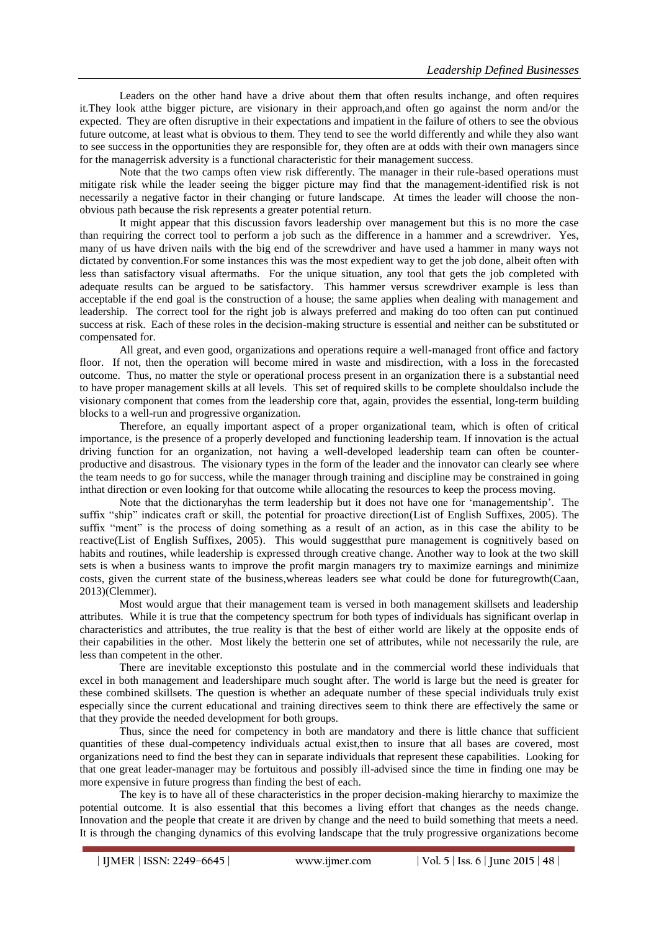Leaders on the other hand have a drive about them that often results inchange, and often requires it.They look atthe bigger picture, are visionary in their approach,and often go against the norm and/or the expected. They are often disruptive in their expectations and impatient in the failure of others to see the obvious future outcome, at least what is obvious to them. They tend to see the world differently and while they also want to see success in the opportunities they are responsible for, they often are at odds with their own managers since for the managerrisk adversity is a functional characteristic for their management success.

Note that the two camps often view risk differently. The manager in their rule-based operations must mitigate risk while the leader seeing the bigger picture may find that the management-identified risk is not necessarily a negative factor in their changing or future landscape. At times the leader will choose the nonobvious path because the risk represents a greater potential return.

It might appear that this discussion favors leadership over management but this is no more the case than requiring the correct tool to perform a job such as the difference in a hammer and a screwdriver. Yes, many of us have driven nails with the big end of the screwdriver and have used a hammer in many ways not dictated by convention. For some instances this was the most expedient way to get the job done, albeit often with less than satisfactory visual aftermaths. For the unique situation, any tool that gets the job completed with adequate results can be argued to be satisfactory. This hammer versus screwdriver example is less than acceptable if the end goal is the construction of a house; the same applies when dealing with management and leadership. The correct tool for the right job is always preferred and making do too often can put continued success at risk. Each of these roles in the decision-making structure is essential and neither can be substituted or compensated for.

All great, and even good, organizations and operations require a well-managed front office and factory floor. If not, then the operation will become mired in waste and misdirection, with a loss in the forecasted outcome. Thus, no matter the style or operational process present in an organization there is a substantial need to have proper management skills at all levels. This set of required skills to be complete shouldalso include the visionary component that comes from the leadership core that, again, provides the essential, long-term building blocks to a well-run and progressive organization.

Therefore, an equally important aspect of a proper organizational team, which is often of critical importance, is the presence of a properly developed and functioning leadership team. If innovation is the actual driving function for an organization, not having a well-developed leadership team can often be counterproductive and disastrous. The visionary types in the form of the leader and the innovator can clearly see where the team needs to go for success, while the manager through training and discipline may be constrained in going inthat direction or even looking for that outcome while allocating the resources to keep the process moving.

Note that the dictionaryhas the term leadership but it does not have one for "managementship". The suffix "ship" indicates craft or skill, the potential for proactive direction(List of English Suffixes, 2005). The suffix "ment" is the process of doing something as a result of an action, as in this case the ability to be reactive(List of English Suffixes, 2005). This would suggestthat pure management is cognitively based on habits and routines, while leadership is expressed through creative change. Another way to look at the two skill sets is when a business wants to improve the profit margin managers try to maximize earnings and minimize costs, given the current state of the business,whereas leaders see what could be done for futuregrowth(Caan, 2013)(Clemmer).

Most would argue that their management team is versed in both management skillsets and leadership attributes. While it is true that the competency spectrum for both types of individuals has significant overlap in characteristics and attributes, the true reality is that the best of either world are likely at the opposite ends of their capabilities in the other. Most likely the betterin one set of attributes, while not necessarily the rule, are less than competent in the other.

There are inevitable exceptionsto this postulate and in the commercial world these individuals that excel in both management and leadershipare much sought after. The world is large but the need is greater for these combined skillsets. The question is whether an adequate number of these special individuals truly exist especially since the current educational and training directives seem to think there are effectively the same or that they provide the needed development for both groups.

Thus, since the need for competency in both are mandatory and there is little chance that sufficient quantities of these dual-competency individuals actual exist,then to insure that all bases are covered, most organizations need to find the best they can in separate individuals that represent these capabilities. Looking for that one great leader-manager may be fortuitous and possibly ill-advised since the time in finding one may be more expensive in future progress than finding the best of each.

The key is to have all of these characteristics in the proper decision-making hierarchy to maximize the potential outcome. It is also essential that this becomes a living effort that changes as the needs change. Innovation and the people that create it are driven by change and the need to build something that meets a need. It is through the changing dynamics of this evolving landscape that the truly progressive organizations become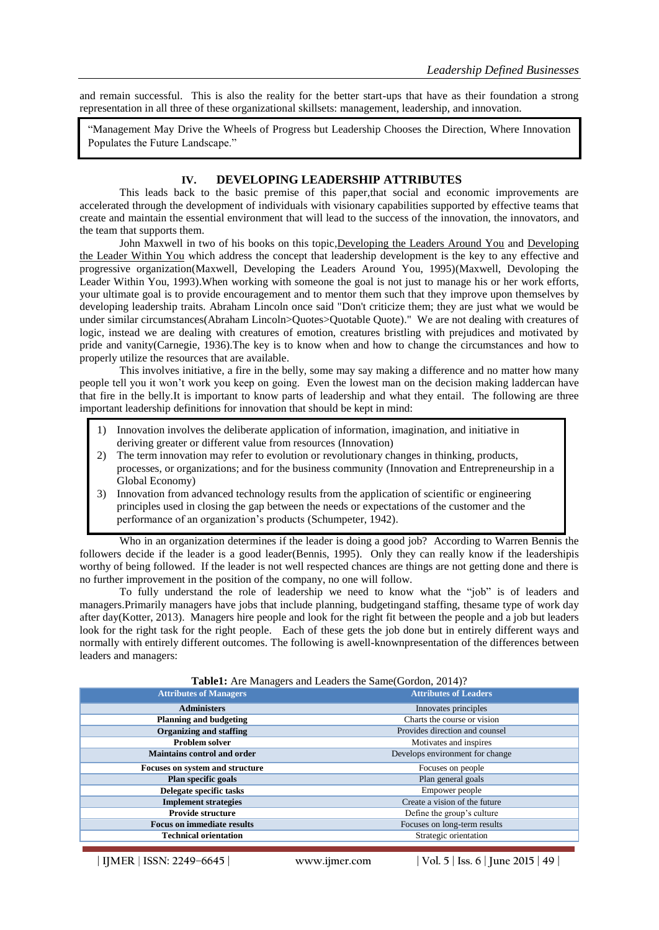and remain successful. This is also the reality for the better start-ups that have as their foundation a strong representation in all three of these organizational skillsets: management, leadership, and innovation.

"Management May Drive the Wheels of Progress but Leadership Chooses the Direction, Where Innovation Populates the Future Landscape."

#### **IV. DEVELOPING LEADERSHIP ATTRIBUTES**

This leads back to the basic premise of this paper,that social and economic improvements are accelerated through the development of individuals with visionary capabilities supported by effective teams that create and maintain the essential environment that will lead to the success of the innovation, the innovators, and the team that supports them.

John Maxwell in two of his books on this topic,Developing the Leaders Around You and Developing the Leader Within You which address the concept that leadership development is the key to any effective and progressive organization(Maxwell, Developing the Leaders Around You, 1995)(Maxwell, Devoloping the Leader Within You, 1993).When working with someone the goal is not just to manage his or her work efforts, your ultimate goal is to provide encouragement and to mentor them such that they improve upon themselves by developing leadership traits. Abraham Lincoln once said "Don't criticize them; they are just what we would be under similar circumstances(Abraham Lincoln>Quotes>Quotable Quote)." We are not dealing with creatures of logic, instead we are dealing with creatures of emotion, creatures bristling with prejudices and motivated by pride and vanity(Carnegie, 1936).The key is to know when and how to change the circumstances and how to properly utilize the resources that are available.

This involves initiative, a fire in the belly, some may say making a difference and no matter how many people tell you it won"t work you keep on going. Even the lowest man on the decision making laddercan have that fire in the belly.It is important to know parts of leadership and what they entail. The following are three important leadership definitions for innovation that should be kept in mind:

- 1) Innovation involves the deliberate application of information, imagination, and initiative in deriving greater or different value from resources (Innovation)
- 2) The term innovation may refer to evolution or revolutionary changes in thinking, products, processes, or organizations; and for the business community (Innovation and Entrepreneurship in a Global Economy)
- 3) Innovation from advanced technology results from the application of scientific or engineering principles used in closing the gap between the needs or expectations of the customer and the performance of an organization"s products (Schumpeter, 1942).

Who in an organization determines if the leader is doing a good job? According to Warren Bennis the followers decide if the leader is a good leader(Bennis, 1995). Only they can really know if the leadershipis worthy of being followed. If the leader is not well respected chances are things are not getting done and there is no further improvement in the position of the company, no one will follow.

To fully understand the role of leadership we need to know what the "job" is of leaders and managers.Primarily managers have jobs that include planning, budgetingand staffing, thesame type of work day after day(Kotter, 2013). Managers hire people and look for the right fit between the people and a job but leaders look for the right task for the right people. Each of these gets the job done but in entirely different ways and normally with entirely different outcomes. The following is awell-knownpresentation of the differences between leaders and managers:

| <b>Attributes of Managers</b>      | <b>Attributes of Leaders</b>    |
|------------------------------------|---------------------------------|
| <b>Administers</b>                 | Innovates principles            |
| <b>Planning and budgeting</b>      | Charts the course or vision     |
| <b>Organizing and staffing</b>     | Provides direction and counsel  |
| <b>Problem solver</b>              | Motivates and inspires          |
| <b>Maintains control and order</b> | Develops environment for change |
| Focuses on system and structure    | Focuses on people               |
| Plan specific goals                | Plan general goals              |
| Delegate specific tasks            | Empower people                  |
| <b>Implement strategies</b>        | Create a vision of the future   |
| <b>Provide structure</b>           | Define the group's culture      |
| <b>Focus on immediate results</b>  | Focuses on long-term results    |
| <b>Technical orientation</b>       | Strategic orientation           |

**Table1:** Are Managers and Leaders the Same(Gordon, 2014)?

**| IJMER** | **ISSN: 2249–6645 | www.ijmer.com | Vol. 5 | Iss. 6 | June 2015 | 49 |**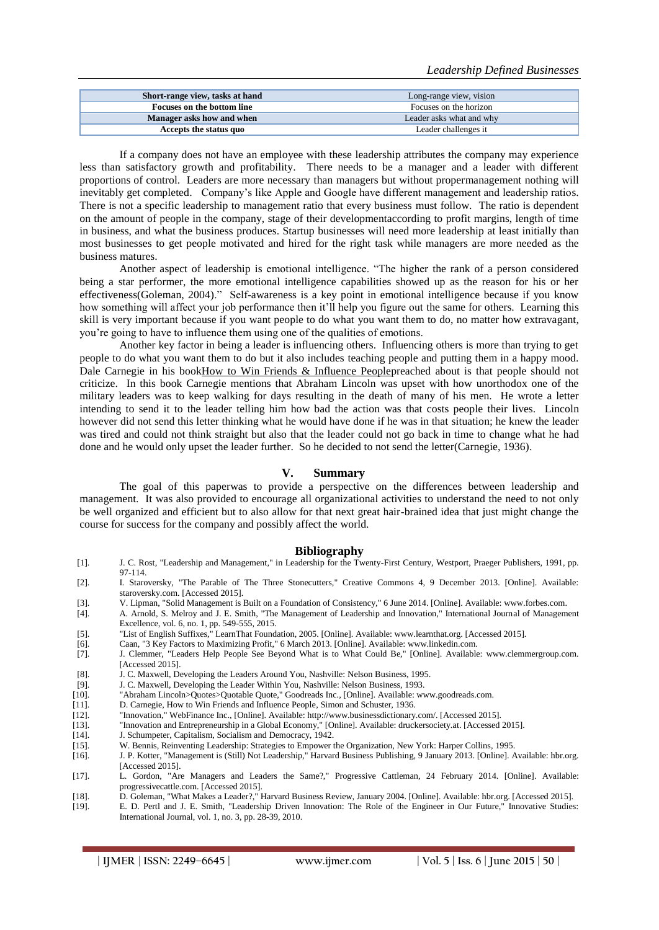| Short-range view, tasks at hand | Long-range view, vision  |
|---------------------------------|--------------------------|
| Focuses on the bottom line      | Focuses on the horizon   |
| Manager asks how and when       | Leader asks what and why |
| Accepts the status quo          | Leader challenges it     |

If a company does not have an employee with these leadership attributes the company may experience less than satisfactory growth and profitability. There needs to be a manager and a leader with different proportions of control. Leaders are more necessary than managers but without propermanagement nothing will inevitably get completed. Company"s like Apple and Google have different management and leadership ratios. There is not a specific leadership to management ratio that every business must follow. The ratio is dependent on the amount of people in the company, stage of their developmentaccording to profit margins, length of time in business, and what the business produces. Startup businesses will need more leadership at least initially than most businesses to get people motivated and hired for the right task while managers are more needed as the business matures.

Another aspect of leadership is emotional intelligence. "The higher the rank of a person considered being a star performer, the more emotional intelligence capabilities showed up as the reason for his or her effectiveness(Goleman, 2004)." Self-awareness is a key point in emotional intelligence because if you know how something will affect your job performance then it"ll help you figure out the same for others. Learning this skill is very important because if you want people to do what you want them to do, no matter how extravagant, you"re going to have to influence them using one of the qualities of emotions.

Another key factor in being a leader is influencing others. Influencing others is more than trying to get people to do what you want them to do but it also includes teaching people and putting them in a happy mood. Dale Carnegie in his bookHow to Win Friends & Influence Peoplepreached about is that people should not criticize. In this book Carnegie mentions that Abraham Lincoln was upset with how unorthodox one of the military leaders was to keep walking for days resulting in the death of many of his men. He wrote a letter intending to send it to the leader telling him how bad the action was that costs people their lives. Lincoln however did not send this letter thinking what he would have done if he was in that situation; he knew the leader was tired and could not think straight but also that the leader could not go back in time to change what he had done and he would only upset the leader further. So he decided to not send the letter(Carnegie, 1936).

#### **V. Summary**

The goal of this paperwas to provide a perspective on the differences between leadership and management. It was also provided to encourage all organizational activities to understand the need to not only be well organized and efficient but to also allow for that next great hair-brained idea that just might change the course for success for the company and possibly affect the world.

#### **Bibliography**

- [1]. J. C. Rost, "Leadership and Management," in Leadership for the Twenty-First Century, Westport, Praeger Publishers, 1991, pp. 97-114.
- [2]. I. Staroversky, "The Parable of The Three Stonecutters," Creative Commons 4, 9 December 2013. [Online]. Available: staroversky.com. [Accessed 2015].
- [3]. V. Lipman, "Solid Management is Built on a Foundation of Consistency," 6 June 2014. [Online]. Available: www.forbes.com.<br>[4]. A. Arnold, S. Melroy and J. E. Smith, "The Management of Leadership and Innovation," Intern
- [4]. A. Arnold, S. Melroy and J. E. Smith, "The Management of Leadership and Innovation," International Journal of Management Excellence, vol. 6, no. 1, pp. 549-555, 2015.
- [5]. "List of English Suffixes," LearnThat Foundation, 2005. [Online]. Available: www.learnthat.org. [Accessed 2015]. Caan, "3 Key Factors to Maximizing Profit," 6 March 2013. [Online]. Available: www.linkedin.com.
- [6]. Caan, "3 Key Factors to Maximizing Profit," 6 March 2013. [Online]. Available: www.linkedin.com.
- [7]. J. Clemmer, "Leaders Help People See Beyond What is to What Could Be," [Online]. Available: www.clemmergroup.com. [Accessed 2015].
- [8]. J. C. Maxwell, Developing the Leaders Around You, Nashville: Nelson Business, 1995.
- 
- [9]. J. C. Maxwell, Developing the Leader Within You, Nashville: Nelson Business, 1993. [10]. "Abraham Lincoln>Quotes>Quotable Quote," Goodreads Inc., [Online]. Available: www.goodreads.com.
- [11]. D. Carnegie, How to Win Friends and Influence People, Simon and Schuster, 1936.
- [12]. "Innovation," WebFinance Inc., [Online]. Available: http://www.businessdictionary.com/. [Accessed 2015].
- [13]. "Innovation and Entrepreneurship in a Global Economy," [Online]. Available: druckersociety.at. [Accessed 2015].
- [14]. J. Schumpeter, Capitalism, Socialism and Democracy, 1942.
- [15]. W. Bennis, Reinventing Leadership: Strategies to Empower the Organization, New York: Harper Collins, 1995.
- [16]. J. P. Kotter, "Management is (Still) Not Leadership," Harvard Business Publishing, 9 January 2013. [Online]. Available: hbr.org. [Accessed 2015].
- [17]. L. Gordon, "Are Managers and Leaders the Same?," Progressive Cattleman, 24 February 2014. [Online]. Available: progressivecattle.com. [Accessed 2015].
- [18]. D. Goleman, "What Makes a Leader?," Harvard Business Review, January 2004. [Online]. Available: hbr.org. [Accessed 2015].
- [19]. E. D. Pertl and J. E. Smith, "Leadership Driven Innovation: The Role of the Engineer in Our Future," Innovative Studies: International Journal, vol. 1, no. 3, pp. 28-39, 2010.